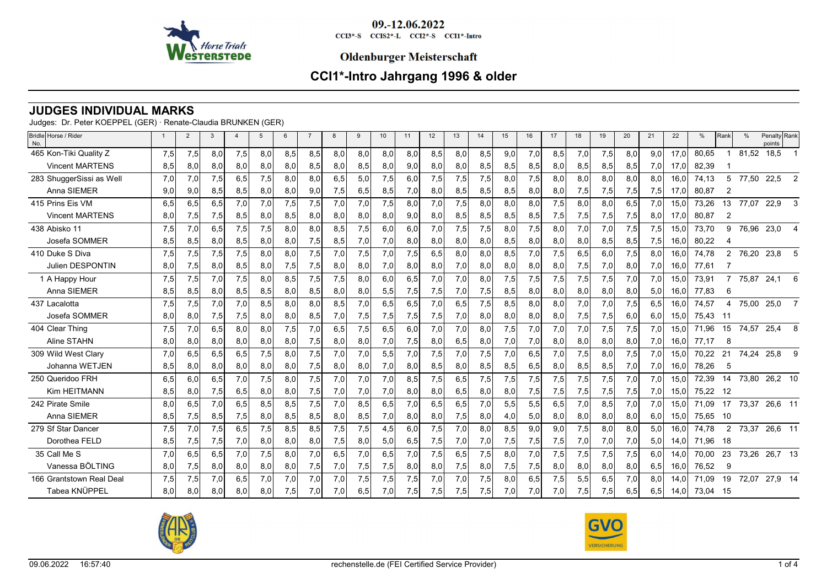

#### **Oldenburger Meisterschaft**

# **CCI1\*-Intro Jahrgang 1996 & older**

### **JUDGES INDIVIDUAL MARKS**

Judges: Dr. Peter KOEPPEL (GER) · Renate-Claudia BRUNKEN (GER)

| Bridle Horse / Rider<br>No. |     | $\overline{2}$ | 3   |     | 5   | 6   |     | 8   | 9   | 10 <sup>1</sup> | 11  | 12  | 13  | 14  | 15  | 16  | 17  | 18  | 19  | 20  | 21  | 22   | %     | Rank           |       | Penalty Rank<br>points |                |
|-----------------------------|-----|----------------|-----|-----|-----|-----|-----|-----|-----|-----------------|-----|-----|-----|-----|-----|-----|-----|-----|-----|-----|-----|------|-------|----------------|-------|------------------------|----------------|
| 465 Kon-Tiki Quality Z      | 7,5 | 7,5            | 8,0 | 7,5 | 8,0 | 8,5 | 8,5 | 8,0 | 8.0 | 8,0             | 8.0 | 8.5 | 8.0 | 8,5 | 9,0 | 7,0 | 8,5 | 7,0 | 7,5 | 8,0 | 9,0 | 17.0 | 80,65 |                | 81,52 | 18,5                   |                |
| <b>Vincent MARTENS</b>      | 8,5 | 8,0            | 8,0 | 8,0 | 8,0 | 8,0 | 8,5 | 8,0 | 8,5 | 8,0             | 9,0 | 8,0 | 8,0 | 8,5 | 8,5 | 8,5 | 8,0 | 8,5 | 8,5 | 8,5 | 7,0 | 17.0 | 82,39 |                |       |                        |                |
| 283 ShuggerSissi as Well    | 7,0 | 7,0            | 7,5 | 6,5 | 7,5 | 8,0 | 8.0 | 6,5 | 5.0 | 7,5             | 6.0 | 7,5 | 7,5 | 7,5 | 8.0 | 7.5 | 8.0 | 8.0 | 8,0 | 8.0 | 8.0 | 16.0 | 74,13 | 5              | 77,50 | 22,5                   | $\overline{2}$ |
| Anna SIEMER                 | 9,0 | 9,0            | 8,5 | 8,5 | 8,0 | 8,0 | 9,0 | 7,5 | 6,5 | 8,5             | 7,0 | 8,0 | 8,5 | 8,5 | 8,5 | 8,0 | 8,0 | 7,5 | 7,5 | 7,5 | 7,5 | 17,0 | 80,87 | $\overline{2}$ |       |                        |                |
| 415 Prins Eis VM            | 6.5 | 6.5            | 6.5 | 7,0 | 7,0 | 7,5 | 7,5 | 7.0 | 7.0 | 7,5             | 8.0 | 7.0 | 7,5 | 8.0 | 8.0 | 8.0 | 7,5 | 8.0 | 8.0 | 6.5 | 7,0 | 15.0 | 73.26 | 13             | 77,07 | 22,9                   | 3              |
| <b>Vincent MARTENS</b>      | 8,0 | 7,5            | 7,5 | 8,5 | 8,0 | 8,5 | 8,0 | 8,0 | 8,0 | 8,0             | 9,0 | 8,0 | 8,5 | 8,5 | 8,5 | 8,5 | 7,5 | 7,5 | 7,5 | 7,5 | 8,0 | 17,0 | 80,87 | 2              |       |                        |                |
| 438 Abisko 11               | 7,5 | 7,0            | 6,5 | 7,5 | 7,5 | 8,0 | 8.0 | 8,5 | 7,5 | 6,0             | 6,0 | 7,0 | 7,5 | 7,5 | 8,0 | 7,5 | 8,0 | 7,0 | 7,0 | 7,5 | 7,5 | 15,0 | 73,70 | 9              | 76,96 | 23,0                   | $\overline{4}$ |
| Josefa SOMMER               | 8,5 | 8,5            | 8,0 | 8,5 | 8,0 | 8,0 | 7,5 | 8,5 | 7,0 | 7,0             | 8,0 | 8,0 | 8,0 | 8,0 | 8,5 | 8,0 | 8,0 | 8,0 | 8,5 | 8,5 | 7,5 | 16,0 | 80,22 | 4              |       |                        |                |
| 410 Duke S Diva             | 7,5 | 7,5            | 7,5 | 7,5 | 8,0 | 8,0 | 7,5 | 7,0 | 7,5 | 7,0             | 7,5 | 6,5 | 8,0 | 8,0 | 8,5 | 7,0 | 7,5 | 6,5 | 6,0 | 7,5 | 8,0 | 16.0 | 74,78 | $\overline{2}$ |       | 76,20 23,8             | 5              |
| <b>Julien DESPONTIN</b>     | 8,0 | 7,5            | 8,0 | 8,5 | 8,0 | 7,5 | 7,5 | 8,0 | 8,0 | 7,0             | 8,0 | 8,0 | 7,0 | 8,0 | 8,0 | 8,0 | 8,0 | 7,5 | 7,0 | 8,0 | 7,0 | 16,0 | 77,61 |                |       |                        |                |
| 1 A Happy Hour              | 7,5 | 7,5            | 7,0 | 7,5 | 8,0 | 8,5 | 7,5 | 7,5 | 8,0 | 6,0             | 6,5 | 7,0 | 7,0 | 8,0 | 7,5 | 7,5 | 7,5 | 7,5 | 7,5 | 7,0 | 7,0 | 15,0 | 73,91 |                | 75,87 | 24,1                   | 6              |
| Anna SIEMER                 | 8,5 | 8,5            | 8,0 | 8,5 | 8,5 | 8,0 | 8,5 | 8,0 | 8,0 | 5,5             | 7,5 | 7,5 | 7,0 | 7,5 | 8,5 | 8,0 | 8,0 | 8,0 | 8,0 | 8,0 | 5,0 | 16,0 | 77.83 | 6              |       |                        |                |
| 437 Lacalotta               | 7,5 | 7,5            | 7,0 | 7,0 | 8,5 | 8,0 | 8,0 | 8,5 | 7,0 | 6,5             | 6,5 | 7,0 | 6,5 | 7,5 | 8,5 | 8,0 | 8,0 | 7,0 | 7,0 | 7,5 | 6,5 | 16,0 | 74,57 | 4              | 75,00 | 25,0                   | -7             |
| Josefa SOMMER               | 8,0 | 8,0            | 7,5 | 7,5 | 8,0 | 8,0 | 8,5 | 7,0 | 7,5 | 7,5             | 7,5 | 7,5 | 7,0 | 8,0 | 8,0 | 8,0 | 8,0 | 7,5 | 7,5 | 6,0 | 6,0 | 15,0 | 75,43 | -11            |       |                        |                |
| 404 Clear Thing             | 7,5 | 7,0            | 6,5 | 8,0 | 8,0 | 7,5 | 7,0 | 6,5 | 7,5 | 6,5             | 6.0 | 7,0 | 7,0 | 8,0 | 7,5 | 7,0 | 7,0 | 7,0 | 7,5 | 7,5 | 7,0 | 15,0 | 71,96 | 15             | 74,57 | 25,4                   | 8              |
| Aline STAHN                 | 8,0 | 8,0            | 8,0 | 8,0 | 8,0 | 8,0 | 7,5 | 8,0 | 8,0 | 7,0             | 7,5 | 8,0 | 6,5 | 8,0 | 7,0 | 7,0 | 8,0 | 8,0 | 8,0 | 8,0 | 7,0 | 16,0 | 77,17 | 8              |       |                        |                |
| 309 Wild West Clary         | 7,0 | 6,5            | 6,5 | 6,5 | 7,5 | 8,0 | 7,5 | 7.0 | 7,0 | 5,5             | 7.0 | 7,5 | 7,0 | 7,5 | 7,0 | 6.5 | 7,0 | 7,5 | 8,0 | 7,5 | 7,0 | 15.0 | 70,22 | 21             | 74,24 | 25,8                   | -9             |
| Johanna WETJEN              | 8,5 | 8,0            | 8,0 | 8,0 | 8,0 | 8,0 | 7,5 | 8,0 | 8,0 | 7,0             | 8,0 | 8,5 | 8,0 | 8,5 | 8,5 | 6,5 | 8,0 | 8,5 | 8,5 | 7,0 | 7,0 | 16,0 | 78,26 | 5              |       |                        |                |
| 250 Queridoo FRH            | 6,5 | 6,0            | 6,5 | 7,0 | 7,5 | 8,0 | 7,5 | 7,0 | 7,0 | 7,0             | 8.5 | 7,5 | 6,5 | 7,5 | 7,5 | 7,5 | 7,5 | 7,5 | 7,5 | 7,0 | 7,0 | 15,0 | 72,39 | 14             | 73,80 | 26,2 10                |                |
| Kim HEITMANN                | 8,5 | 8,0            | 7,5 | 6,5 | 8,0 | 8,0 | 7,5 | 7,0 | 7,0 | 7,0             | 8,0 | 8,0 | 6,5 | 8,0 | 8,0 | 7,5 | 7,5 | 7,5 | 7,5 | 7,5 | 7,0 | 15.0 | 75,22 | -12            |       |                        |                |
| 242 Pirate Smile            | 8,0 | 6,5            | 7,0 | 6,5 | 8,5 | 8,5 | 7,5 | 7,0 | 8,5 | 6,5             | 7,0 | 6,5 | 6,5 | 7,0 | 5,5 | 5,5 | 6,5 | 7,0 | 8,5 | 7,0 | 7,0 | 15,0 | 71.09 | 17             | 73,37 | 26,6 11                |                |
| Anna SIEMER                 | 8,5 | 7,5            | 8,5 | 7,5 | 8,0 | 8,5 | 8,5 | 8,0 | 8,5 | 7,0             | 8,0 | 8,0 | 7,5 | 8,0 | 4,0 | 5,0 | 8,0 | 8,0 | 8,0 | 8,0 | 6,0 | 15.0 | 75,65 | - 10           |       |                        |                |
| 279 Sf Star Dancer          | 7,5 | 7,0            | 7.5 | 6,5 | 7,5 | 8,5 | 8,5 | 7,5 | 7,5 | 4,5             | 6.0 | 7,5 | 7,0 | 8.0 | 8,5 | 9.0 | 9.0 | 7,5 | 8,0 | 8.0 | 5,0 | 16.0 | 74,78 | $\mathbf{2}$   | 73,37 | 26,6 11                |                |
| Dorothea FELD               | 8,5 | 7,5            | 7,5 | 7,0 | 8,0 | 8,0 | 8,0 | 7,5 | 8,0 | 5,0             | 6,5 | 7,5 | 7,0 | 7,0 | 7,5 | 7,5 | 7,5 | 7,0 | 7,0 | 7,0 | 5,0 | 14,0 | 71,96 | 18             |       |                        |                |
| 35 Call Me S                | 7,0 | 6,5            | 6.5 | 7,0 | 7,5 | 8,0 | 7,0 | 6,5 | 7.0 | 6,5             | 7,0 | 7,5 | 6,5 | 7,5 | 8,0 | 7,0 | 7,5 | 7,5 | 7,5 | 7,5 | 6,0 | 14.0 | 70.00 | 23             | 73,26 | 26,7 13                |                |
| Vanessa BÖLTING             | 8,0 | 7,5            | 8,0 | 8,0 | 8,0 | 8,0 | 7,5 | 7,0 | 7,5 | 7,5             | 8,0 | 8,0 | 7,5 | 8,0 | 7,5 | 7,5 | 8,0 | 8,0 | 8,0 | 8,0 | 6,5 | 16,0 | 76,52 | 9              |       |                        |                |
| 166 Grantstown Real Deal    | 7,5 | 7,5            | 7,0 | 6,5 | 7,0 | 7,0 | 7,0 | 7,0 | 7,5 | 7,5             | 7,5 | 7.0 | 7,0 | 7,5 | 8,0 | 6.5 | 7,5 | 5,5 | 6,5 | 7,0 | 8,0 | 14.0 | 71.09 | 19             | 72,07 | 27,9 14                |                |
| Tabea KNÜPPEL               | 8,0 | 8,0            | 8,0 | 8,0 | 8,0 | 7,5 | 7,0 | 7,0 | 6,5 | 7,0             | 7,5 | 7,5 | 7,5 | 7,5 | 7,0 | 7,0 | 7,0 | 7,5 | 7,5 | 6,5 | 6,5 | 14,0 | 73,04 | - 15           |       |                        |                |



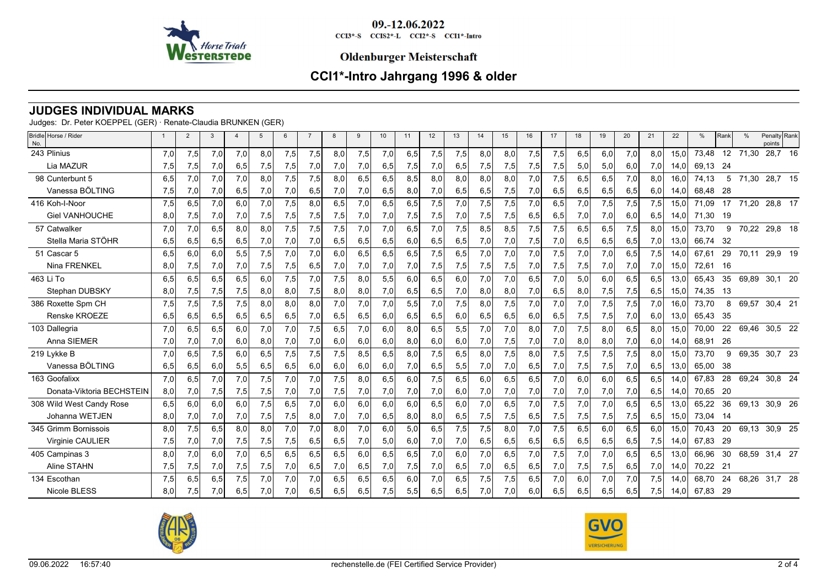

#### **Oldenburger Meisterschaft**

# **CCI1\*-Intro Jahrgang 1996 & older**

### **JUDGES INDIVIDUAL MARKS**

Judges: Dr. Peter KOEPPEL (GER) · Renate-Claudia BRUNKEN (GER)

| Bridle Horse / Rider<br>No. |     | $\overline{2}$ | 3   | $\overline{4}$ | 5   | 6   | $\overline{7}$ | 8   | 9   | 10  | 11  | 12  | 13               | 14  | 15  | 16  | 17  | 18  | 19  | 20   | 21  | 22   | %        | Rank | $\%$  | Penalty Rank<br>points |  |
|-----------------------------|-----|----------------|-----|----------------|-----|-----|----------------|-----|-----|-----|-----|-----|------------------|-----|-----|-----|-----|-----|-----|------|-----|------|----------|------|-------|------------------------|--|
| 243 Plinius                 | 7,0 | 7,5            | 7,0 | 7,0            | 8.0 | 7,5 | 7,5            | 8,0 | 7,5 | 7,0 | 6,5 | 7,5 | 7,5              | 8,0 | 8,0 | 7,5 | 7,5 | 6,5 | 6,0 | 7,0  | 8,0 | 15.0 | 73,48    | 12   | 71,30 | 28,7 16                |  |
| Lia MAZUR                   | 7,5 | 7,5            | 7,0 | 6,5            | 7,5 | 7,5 | 7,0            | 7,0 | 7,0 | 6,5 | 7,5 | 7,0 | 6,5              | 7,5 | 7,5 | 7,5 | 7,5 | 5,0 | 5,0 | 6,0  | 7,0 | 14,0 | 69,13    | -24  |       |                        |  |
| 98 Cunterbunt 5             | 6.5 | 7,0            | 7,0 | 7,0            | 8,0 | 7,5 | 7,5            | 8,0 | 6,5 | 6,5 | 8,5 | 8,0 | 8.0 <sub>l</sub> | 8,0 | 8.0 | 7,0 | 7,5 | 6,5 | 6,5 | 7,0  | 8,0 | 16,0 | 74,13    | 5    | 71,30 | 28,7 15                |  |
| Vanessa BÖLTING             | 7,5 | 7,0            | 7,0 | 6,5            | 7,0 | 7,0 | 6,5            | 7,0 | 7,0 | 6,5 | 8,0 | 7,0 | 6,5              | 6,5 | 7,5 | 7,0 | 6,5 | 6,5 | 6,5 | 6,5  | 6,0 | 14,0 | 68.48    | -28  |       |                        |  |
| 416 Koh-I-Noor              | 7,5 | 6,5            | 7,0 | 6,0            | 7,0 | 7,5 | 8,0            | 6,5 | 7,0 | 6,5 | 6,5 | 7,5 | 7,0              | 7,5 | 7,5 | 7.0 | 6.5 | 7,0 | 7,5 | 7,5  | 7,5 | 15,0 | 71,09    | 17   | 71,20 | 28,8 17                |  |
| <b>Giel VANHOUCHE</b>       | 8,0 | 7,5            | 7,0 | 7,0            | 7,5 | 7,5 | 7,5            | 7,5 | 7,0 | 7,0 | 7,5 | 7,5 | 7,0              | 7,5 | 7,5 | 6,5 | 6,5 | 7,0 | 7,0 | 6,0  | 6,5 | 14,0 | 71,30    | 19   |       |                        |  |
| 57 Catwalker                | 7,0 | 7,0            | 6,5 | 8.0            | 8.0 | 7,5 | 7,5            | 7,5 | 7,0 | 7,0 | 6,5 | 7,0 | 7,5              | 8,5 | 8,5 | 7,5 | 7,5 | 6,5 | 6,5 | 7,5  | 8,0 | 15,0 | 73,70    | 9    | 70,22 | 29,8 18                |  |
| Stella Maria STÖHR          | 6,5 | 6,5            | 6,5 | 6,5            | 7,0 | 7,0 | 7,0            | 6,5 | 6,5 | 6,5 | 6,0 | 6,5 | 6,5              | 7,0 | 7,0 | 7,5 | 7,0 | 6,5 | 6,5 | 6,5  | 7,0 | 13,0 | 66,74    | - 32 |       |                        |  |
| 51 Cascar 5                 | 6,5 | 6,0            | 6.0 | 5,5            | 7,5 | 7,0 | 7,0            | 6,0 | 6,5 | 6,5 | 6,5 | 7,5 | 6.5              | 7,0 | 7,0 | 7.0 | 7,5 | 7,0 | 7,0 | 6,5  | 7,5 | 14.0 | 67,61    | 29   | 70,11 | 29,9 19                |  |
| Nina FRENKEL                | 8,0 | 7,5            | 7,0 | 7,0            | 7,5 | 7,5 | 6,5            | 7,0 | 7,0 | 7,0 | 7,0 | 7,5 | 7,5              | 7,5 | 7,5 | 7,0 | 7,5 | 7,5 | 7,0 | 7,0  | 7,0 | 15,0 | 72,61    | 16   |       |                        |  |
| 463 Li To                   | 6,5 | 6,5            | 6,5 | 6,5            | 6.0 | 7,5 | 7,0            | 7,5 | 8,0 | 5,5 | 6,0 | 6,5 | 6.0              | 7,0 | 7,0 | 6,5 | 7,0 | 5,0 | 6.0 | 6,5  | 6,5 | 13,0 | 65,43    | 35   | 69.89 | 30.1 20                |  |
| Stephan DUBSKY              | 8,0 | 7,5            | 7,5 | 7,5            | 8,0 | 8,0 | 7,5            | 8,0 | 8,0 | 7,0 | 6,5 | 6,5 | 7,0              | 8,0 | 8,0 | 7,0 | 6,5 | 8,0 | 7,5 | 7,5  | 6,5 | 15,0 | 74,35    | 13   |       |                        |  |
| 386 Roxette Spm CH          | 7,5 | 7,5            | 7,5 | 7,5            | 8.0 | 8.0 | 8.0            | 7,0 | 7,0 | 7,0 | 5,5 | 7,0 | 7,5              | 8,0 | 7,5 | 7.0 | 7.0 | 7,0 | 7,5 | 7,5  | 7,0 | 16.0 | 73,70    | 8    | 69,57 | 30,4 21                |  |
| Renske KROEZE               | 6,5 | 6,5            | 6,5 | 6,5            | 6,5 | 6,5 | 7,0            | 6,5 | 6,5 | 6,0 | 6,5 | 6,5 | 6,0              | 6,5 | 6,5 | 6,0 | 6,5 | 7,5 | 7,5 | 7,0  | 6,0 | 13,0 | 65.43    | - 35 |       |                        |  |
| 103 Dallegria               | 7,0 | 6,5            | 6,5 | 6,0            | 7,0 | 7,0 | 7,5            | 6,5 | 7,0 | 6,0 | 8,0 | 6,5 | 5,5              | 7,0 | 7,0 | 8.0 | 7,0 | 7,5 | 8,0 | 6,5  | 8,0 | 15,0 | 70,00    | 22   | 69,46 | 30,5 22                |  |
| Anna SIEMER                 | 7,0 | 7,0            | 7,0 | 6,0            | 8,0 | 7,0 | 7,0            | 6,0 | 6,0 | 6,0 | 8,0 | 6,0 | 6,0              | 7,0 | 7,5 | 7,0 | 7,0 | 8,0 | 8,0 | 7,0  | 6,0 | 14,0 | 68,91    | 26   |       |                        |  |
| 219 Lykke B                 | 7,0 | 6.5            | 7,5 | 6.0            | 6,5 | 7,5 | 7,5            | 7,5 | 8,5 | 6,5 | 8.0 | 7,5 | 6.5              | 8.0 | 7,5 | 8.0 | 7,5 | 7,5 | 7,5 | 7,5  | 8,0 | 15,0 | 73,70    | 9    | 69,35 | 30,7 23                |  |
| Vanessa BÖLTING             | 6,5 | 6,5            | 6,0 | 5,5            | 6,5 | 6,5 | 6,0            | 6,0 | 6,0 | 6,0 | 7,0 | 6,5 | 5,5              | 7,0 | 7,0 | 6,5 | 7,0 | 7,5 | 7,5 | 7,0  | 6,5 | 13,0 | 65,00    | 38   |       |                        |  |
| 163 Goofalixx               | 7,0 | 6,5            | 7,0 | 7,0            | 7,5 | 7,0 | 7,0            | 7,5 | 8,0 | 6,5 | 6,0 | 7,5 | 6,5              | 6,0 | 6,5 | 6,5 | 7,0 | 6,0 | 6,0 | 6, 5 | 6,5 | 14,0 | 67,83    | 28   | 69,24 | 30,8 24                |  |
| Donata-Viktoria BECHSTEIN   | 8,0 | 7,0            | 7,5 | 7,5            | 7,5 | 7,0 | 7,0            | 7,5 | 7,0 | 7,0 | 7,0 | 7,0 | 6,0              | 7,0 | 7,0 | 7,0 | 7,0 | 7,0 | 7,0 | 7,0  | 6,5 | 14,0 | 70.65    | 20   |       |                        |  |
| 308 Wild West Candy Rose    | 6,5 | 6,0            | 6.0 | 6,0            | 7,5 | 6,5 | 7,0            | 6,0 | 6,0 | 6,0 | 6,0 | 6,5 | 6.0              | 7,0 | 6,5 | 7.0 | 7,5 | 7,0 | 7,0 | 6,5  | 6,5 | 13,0 | 65,22    | 36   |       | 69,13 30,9 26          |  |
| Johanna WETJEN              | 8,0 | 7,0            | 7,0 | 7,0            | 7,5 | 7,5 | 8,0            | 7,0 | 7,0 | 6,5 | 8,0 | 8,0 | 6,5              | 7,5 | 7,5 | 6,5 | 7,5 | 7,5 | 7,5 | 7,5  | 6,5 | 15,0 | 73,04    | -14  |       |                        |  |
| 345 Grimm Bornissois        | 8,0 | 7,5            | 6.5 | 8,0            | 8,0 | 7,0 | 7,0            | 8,0 | 7,0 | 6,0 | 5,0 | 6,5 | 7,5              | 7,5 | 8,0 | 7.0 | 7,5 | 6,5 | 6.0 | 6,5  | 6,0 | 15,0 | 70,43    | 20   | 69,13 | 30,9 25                |  |
| <b>Virginie CAULIER</b>     | 7,5 | 7,0            | 7,0 | 7,5            | 7,5 | 7,5 | 6,5            | 6,5 | 7,0 | 5,0 | 6,0 | 7,0 | 7,0              | 6,5 | 6,5 | 6,5 | 6,5 | 6,5 | 6,5 | 6,5  | 7,5 | 14,0 | 67,83    | -29  |       |                        |  |
| 405 Campinas 3              | 8.0 | 7.0            | 6.0 | 7,0            | 6.5 | 6.5 | 6,5            | 6,5 | 6.0 | 6,5 | 6.5 | 7,0 | 6.0              | 7.0 | 6,5 | 7,0 | 7,5 | 7,0 | 7.0 | 6,5  | 6,5 | 13.0 | 66,96    | 30   | 68,59 | 31,4 27                |  |
| Aline STAHN                 | 7,5 | 7,5            | 7,0 | 7,5            | 7,5 | 7,0 | 6,5            | 7,0 | 6,5 | 7,0 | 7,5 | 7,0 | 6,5              | 7,0 | 6,5 | 6,5 | 7,0 | 7,5 | 7,5 | 6,5  | 7,0 | 14,0 | 70,22 21 |      |       |                        |  |
| 134 Escothan                | 7,5 | 6.5            | 6.5 | 7,5            | 7.0 | 7,0 | 7,0            | 6,5 | 6,5 | 6,5 | 6.0 | 7,0 | 6.5              | 7,5 | 7,5 | 6.5 | 7.0 | 6,0 | 7,0 | 7,0  | 7,5 | 14.0 | 68,70    | 24   | 68,26 | 31,7 28                |  |
| Nicole BLESS                | 8.0 | 7,5            | 7,0 | 6,5            | 7,0 | 7,0 | 6,5            | 6,5 | 6,5 | 7,5 | 5,5 | 6,5 | 6,5              | 7,0 | 7,0 | 6.0 | 6,5 | 6,5 | 6,5 | 6,5  | 7,5 | 14,0 | 67,83    | - 29 |       |                        |  |



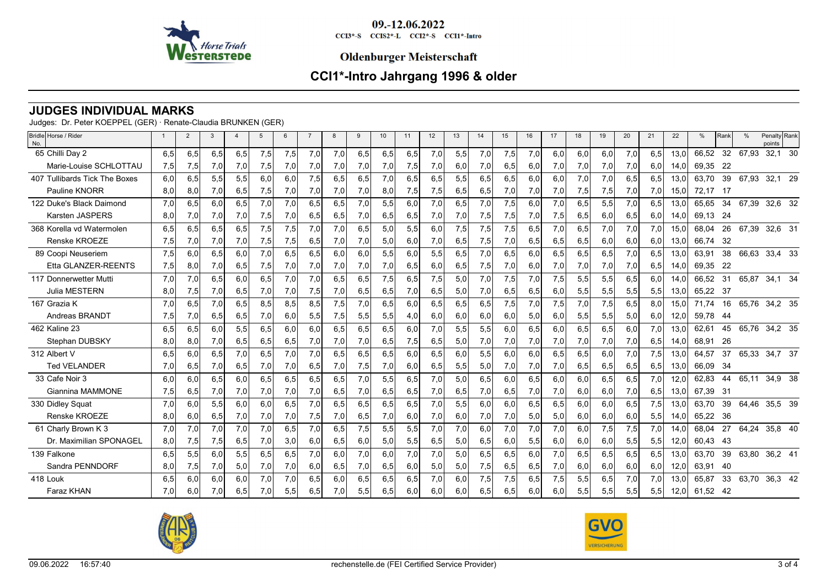

#### **Oldenburger Meisterschaft**

# **CCI1\*-Intro Jahrgang 1996 & older**

### **JUDGES INDIVIDUAL MARKS**

Judges: Dr. Peter KOEPPEL (GER) · Renate-Claudia BRUNKEN (GER)

| Bridle Horse / Rider<br>No.   | $\mathbf{1}$ | $\overline{2}$ | 3   | $\overline{4}$ | 5   | 6   |     | 8   | 9   | 10  | 11  | 12  | 13  | 14  | 15  | 16  | 17  | 18  | 19  | 20  | 21   | 22   | %        | Rank | $\frac{0}{c}$ | Penalty Rank<br>points |    |
|-------------------------------|--------------|----------------|-----|----------------|-----|-----|-----|-----|-----|-----|-----|-----|-----|-----|-----|-----|-----|-----|-----|-----|------|------|----------|------|---------------|------------------------|----|
| 65 Chilli Day 2               | 6,5          | 6.5            | 6,5 | 6,5            | 7,5 | 7,5 | 7,0 | 7,0 | 6.5 | 6,5 | 6.5 | 7,0 | 5,5 | 7,0 | 7,5 | 7.0 | 6.0 | 6,0 | 6,0 | 7,0 | 6,5  | 13.0 | 66.52    | 32   | 67,93         | 32,1                   | 30 |
| Marie-Louise SCHLOTTAU        | 7,5          | 7,5            | 7,0 | 7,0            | 7,5 | 7,0 | 7,0 | 7,0 | 7,0 | 7,0 | 7,5 | 7,0 | 6,0 | 7,0 | 6,5 | 6,0 | 7,0 | 7,0 | 7,0 | 7,0 | 6,0  | 14.0 | 69,35    | -22  |               |                        |    |
| 407 Tullibards Tick The Boxes | 6,0          | 6.5            | 5,5 | 5,5            | 6.0 | 6,0 | 7,5 | 6,5 | 6,5 | 7,0 | 6,5 | 6,5 | 5,5 | 6,5 | 6.5 | 6.0 | 6.0 | 7,0 | 7,0 | 6.5 | 6,5  | 13.0 | 63.70    | 39   | 67,93         | 32,1 29                |    |
| Pauline KNORR                 | 8,0          | 8,0            | 7,0 | 6,5            | 7,5 | 7,0 | 7,0 | 7,0 | 7,0 | 8,0 | 7,5 | 7,5 | 6,5 | 6,5 | 7,0 | 7,0 | 7,0 | 7,5 | 7,5 | 7,0 | 7,0  | 15,0 | 72,17 17 |      |               |                        |    |
| 122 Duke's Black Daimond      | 7.0          | 6.5            | 6.0 | 6.5            | 7.0 | 7,0 | 6.5 | 6.5 | 7,0 | 5,5 | 6.0 | 7,0 | 6.5 | 7.0 | 7,5 | 6.0 | 7.0 | 6.5 | 5.5 | 7.0 | 6.5  | 13.0 | 65.65    | 34   | 67,39         | 32,6 32                |    |
| <b>Karsten JASPERS</b>        | 8,0          | 7,0            | 7,0 | 7,0            | 7,5 | 7,0 | 6,5 | 6,5 | 7,0 | 6,5 | 6,5 | 7,0 | 7,0 | 7,5 | 7,5 | 7,0 | 7,5 | 6,5 | 6,0 | 6,5 | 6,0  | 14,0 | 69,13    | -24  |               |                        |    |
| 368 Korella vd Watermolen     | 6,5          | 6.5            | 6,5 | 6.5            | 7,5 | 7,5 | 7,0 | 7,0 | 6.5 | 5,0 | 5,5 | 6,0 | 7,5 | 7,5 | 7,5 | 6,5 | 7.0 | 6,5 | 7,0 | 7.0 | 7,0  | 15.0 | 68,04    | 26   | 67,39         | 32,6 31                |    |
| Renske KROEZE                 | 7,5          | 7,0            | 7,0 | 7,0            | 7,5 | 7,5 | 6,5 | 7,0 | 7,0 | 5,0 | 6,0 | 7,0 | 6,5 | 7,5 | 7,0 | 6,5 | 6,5 | 6,5 | 6,0 | 6,0 | 6,0  | 13,0 | 66,74    | - 32 |               |                        |    |
| 89 Coopi Neuseriem            | 7,5          | 6.0            | 6,5 | 6.0            | 7.0 | 6,5 | 6.5 | 6.0 | 6.0 | 5,5 | 6.0 | 5,5 | 6.5 | 7.0 | 6.5 | 6.0 | 6.5 | 6,5 | 6,5 | 7.0 | 6,5  | 13.0 | 63.91    | 38   | 66,63         | 33,4 33                |    |
| Etta GLANZER-REENTS           | 7,5          | 8,0            | 7,0 | 6,5            | 7,5 | 7,0 | 7,0 | 7,0 | 7,0 | 7,0 | 6,5 | 6,0 | 6,5 | 7,5 | 7,0 | 6,0 | 7,0 | 7,0 | 7,0 | 7,0 | 6,51 | 14,0 | 69,35    | -22  |               |                        |    |
| 117 Donnerwetter Mutti        | 7,0          | 7.0            | 6,5 | 6.0            | 6,5 | 7,0 | 7,0 | 6,5 | 6,5 | 7,5 | 6,5 | 7,5 | 5.0 | 7,0 | 7,5 | 7,0 | 7,5 | 5,5 | 5,5 | 6,5 | 6,0  | 14,0 | 66,52    | -31  | 65,87         | 34,1 34                |    |
| <b>Julia MESTERN</b>          | 8,0          | 7,5            | 7,0 | 6,5            | 7,0 | 7,0 | 7,5 | 7,0 | 6,5 | 6,5 | 7,0 | 6,5 | 5,0 | 7,0 | 6,5 | 6,5 | 6,0 | 5,5 | 5,5 | 5,5 | 5,5  | 13,0 | 65.22 37 |      |               |                        |    |
| 167 Grazia K                  | 7,0          | 6,5            | 7,0 | 6,5            | 8,5 | 8,5 | 8,5 | 7,5 | 7,0 | 6,5 | 6,0 | 6,5 | 6,5 | 6,5 | 7,5 | 7.0 | 7,5 | 7,0 | 7,5 | 6,5 | 8.0  | 15.0 | 71.74    | 16   |               | 65,76 34,2 35          |    |
| Andreas BRANDT                | 7,5          | 7,01           | 6,5 | 6,5            | 7,0 | 6,0 | 5,5 | 7,5 | 5,5 | 5,5 | 4,0 | 6,0 | 6,0 | 6,0 | 6,0 | 5,0 | 6,0 | 5,5 | 5,5 | 5,0 | 6.0I | 12,0 | 59,78    | -44  |               |                        |    |
| 462 Kaline 23                 | 6,5          | 6,5            | 6,0 | 5,5            | 6,5 | 6,0 | 6,0 | 6,5 | 6,5 | 6,5 | 6,0 | 7,0 | 5,5 | 5,5 | 6,0 | 6,5 | 6,0 | 6,5 | 6,5 | 6,0 | 7,0  | 13,0 | 62,61    | 45   | 65,76         | 34,2 35                |    |
| Stephan DUBSKY                | 8,0          | 8,0            | 7,0 | 6,5            | 6,5 | 6,5 | 7,0 | 7,0 | 7,0 | 6,5 | 7,5 | 6,5 | 5,0 | 7,0 | 7,0 | 7,0 | 7,0 | 7,0 | 7,0 | 7,0 | 6,5  | 14,0 | 68,91    | 26   |               |                        |    |
| 312 Albert V                  | 6,5          | 6.0            | 6,5 | 7,0            | 6,5 | 7,0 | 7,0 | 6,5 | 6.5 | 6,5 | 6.0 | 6,5 | 6.0 | 5,5 | 6.0 | 6.0 | 6,5 | 6,5 | 6,0 | 7,0 | 7,5  | 13,0 | 64.57    | 37   |               | 65,33 34,7 37          |    |
| <b>Ted VELANDER</b>           | 7,0          | 6,5            | 7,0 | 6,5            | 7,0 | 7,0 | 6,5 | 7,0 | 7,5 | 7,0 | 6,0 | 6,5 | 5,5 | 5,0 | 7,0 | 7,0 | 7,0 | 6,5 | 6,5 | 6,5 | 6,5  | 13,0 | 66,09    | - 34 |               |                        |    |
| 33 Cafe Noir 3                | 6,0          | 6,0            | 6,5 | 6.0            | 6,5 | 6,5 | 6,5 | 6,5 | 7,0 | 5,5 | 6,5 | 7,0 | 5,0 | 6,5 | 6.0 | 6,5 | 6.0 | 6,0 | 6,5 | 6,5 | 7,0  | 12,0 | 62,83    | 44   | 65,11         | 34,9 38                |    |
| Giannina MAMMONE              | 7,5          | 6,5            | 7,0 | 7,0            | 7,0 | 7,0 | 7,0 | 6,5 | 7,0 | 6,5 | 6,5 | 7,0 | 6,5 | 7,0 | 6,5 | 7,0 | 7,0 | 6,0 | 6,0 | 7,0 | 6,5  | 13,0 | 67,39    | -31  |               |                        |    |
| 330 Didley Squat              | 7,0          | 6.0            | 5,5 | 6.0            | 6,0 | 6,5 | 7,0 | 6,5 | 6,5 | 6,5 | 6,5 | 7,0 | 5,5 | 6,0 | 6.0 | 6,5 | 6,5 | 6,0 | 6,0 | 6,5 | 7,5  | 13,0 | 63,70    | 39   |               | 64,46 35,5 39          |    |
| Renske KROEZE                 | 8,0          | 6,0            | 6,5 | 7,0            | 7,0 | 7,0 | 7,5 | 7,0 | 6,5 | 7,0 | 6,0 | 7,0 | 6,0 | 7,0 | 7,0 | 5,0 | 5,0 | 6,0 | 6,0 | 6,0 | 5,5  | 14,0 | 65,22    | 36   |               |                        |    |
| 61 Charly Brown K 3           | 7,0          | 7,0            | 7,0 | 7,0            | 7.0 | 6,5 | 7,0 | 6,5 | 7,5 | 5,5 | 5,5 | 7,0 | 7,0 | 6,0 | 7,0 | 7.0 | 7,0 | 6,0 | 7,5 | 7,5 | 7,0  | 14.0 | 68,04    | 27   | 64,24         | 35,8 40                |    |
| Dr. Maximilian SPONAGEL       | 8,0          | 7,5            | 7,5 | 6,5            | 7,0 | 3,0 | 6,0 | 6,5 | 6,0 | 5,0 | 5,5 | 6,5 | 5,0 | 6,5 | 6,0 | 5,5 | 6,0 | 6,0 | 6,0 | 5,5 | 5,5  | 12,0 | 60.43    | -43  |               |                        |    |
| 139 Falkone                   | 6,5          | 5,5            | 6.0 | 5,5            | 6,5 | 6,5 | 7,0 | 6.0 | 7,0 | 6,0 | 7,0 | 7,0 | 5.0 | 6,5 | 6,5 | 6.0 | 7.0 | 6,5 | 6,5 | 6,5 | 6,5  | 13.0 | 63,70    | 39   | 63,80         | 36,2 41                |    |
| Sandra PENNDORF               | 8,0          | 7,5            | 7,0 | 5,0            | 7,0 | 7,0 | 6,0 | 6,5 | 7,0 | 6,5 | 6,0 | 5,0 | 5,0 | 7,5 | 6,5 | 6,5 | 7,0 | 6,0 | 6,0 | 6,0 | 6,0  | 12,0 | 63,91    | 40   |               |                        |    |
| 418 Louk                      | 6,5          | 6,0            | 6,0 | 6,0            | 7,0 | 7,0 | 6,5 | 6,0 | 6,5 | 6,5 | 6,5 | 7,0 | 6,0 | 7,5 | 7,5 | 6,5 | 7,5 | 5,5 | 6,5 | 7,0 | 7,0  | 13,0 | 65.87    | 33   | 63,70         | 36,3 42                |    |
| <b>Faraz KHAN</b>             | 7.0          | 6,0            | 7,0 | 6,5            | 7.0 | 5,5 | 6,5 | 7,0 | 5,5 | 6,5 | 6,0 | 6,0 | 6.0 | 6,5 | 6,5 | 6.0 | 6,0 | 5,5 | 5,5 | 5,5 | 5,5  | 12,0 | 61,52 42 |      |               |                        |    |